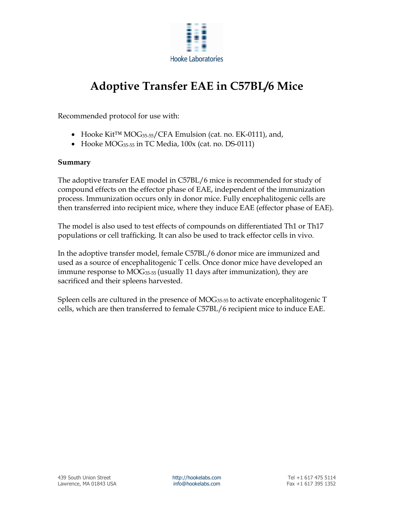

# Adoptive Transfer EAE in C57BL/6 Mice

Recommended protocol for use with:

- Hooke Kit™ MOG35-55/CFA Emulsion (cat. no. EK-0111), and,
- Hooke MOG<sub>35-55</sub> in TC Media, 100x (cat. no. DS-0111)

### Summary

The adoptive transfer EAE model in C57BL/6 mice is recommended for study of compound effects on the effector phase of EAE, independent of the immunization process. Immunization occurs only in donor mice. Fully encephalitogenic cells are then transferred into recipient mice, where they induce EAE (effector phase of EAE).

The model is also used to test effects of compounds on differentiated Th1 or Th17 populations or cell trafficking. It can also be used to track effector cells in vivo.

In the adoptive transfer model, female C57BL/6 donor mice are immunized and used as a source of encephalitogenic T cells. Once donor mice have developed an immune response to  $MOG_{35-55}$  (usually 11 days after immunization), they are sacrificed and their spleens harvested.

Spleen cells are cultured in the presence of  $MOG_{35-55}$  to activate encephalitogenic  $T$ cells, which are then transferred to female C57BL/6 recipient mice to induce EAE.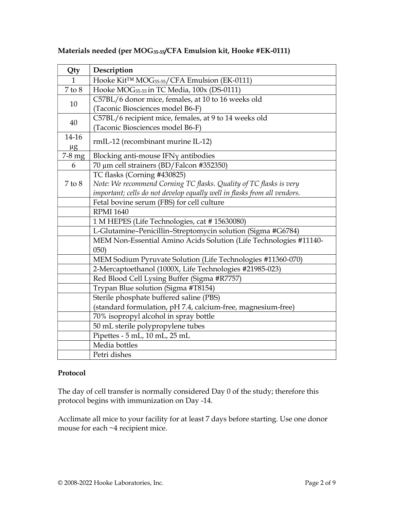| Qty          | Description                                                              |
|--------------|--------------------------------------------------------------------------|
| $\mathbf{1}$ | Hooke Kit™ MOG <sub>35-55</sub> /CFA Emulsion (EK-0111)                  |
| $7$ to $8$   | Hooke MOG <sub>35-55</sub> in TC Media, 100x (DS-0111)                   |
| 10           | C57BL/6 donor mice, females, at 10 to 16 weeks old                       |
|              | (Taconic Biosciences model B6-F)                                         |
| 40           | C57BL/6 recipient mice, females, at 9 to 14 weeks old                    |
|              | (Taconic Biosciences model B6-F)                                         |
| 14-16        | rmIL-12 (recombinant murine IL-12)                                       |
| $\mu$ g      |                                                                          |
| 7-8 mg       | Blocking anti-mouse IFNy antibodies                                      |
| 6            | 70 μm cell strainers (BD/Falcon #352350)                                 |
|              | TC flasks (Corning #430825)                                              |
| $7$ to $8$   | Note: We recommend Corning TC flasks. Quality of TC flasks is very       |
|              | important; cells do not develop equally well in flasks from all vendors. |
|              | Fetal bovine serum (FBS) for cell culture                                |
|              | <b>RPMI 1640</b>                                                         |
|              | 1 M HEPES (Life Technologies, cat #15630080)                             |
|              | L-Glutamine-Penicillin-Streptomycin solution (Sigma #G6784)              |
|              | MEM Non-Essential Amino Acids Solution (Life Technologies #11140-        |
|              | (050)                                                                    |
|              | MEM Sodium Pyruvate Solution (Life Technologies #11360-070)              |
|              | 2-Mercaptoethanol (1000X, Life Technologies #21985-023)                  |
|              | Red Blood Cell Lysing Buffer (Sigma #R7757)                              |
|              | Trypan Blue solution (Sigma #T8154)                                      |
|              | Sterile phosphate buffered saline (PBS)                                  |
|              | (standard formulation, pH 7.4, calcium-free, magnesium-free)             |
|              | 70% isopropyl alcohol in spray bottle                                    |
|              | 50 mL sterile polypropylene tubes                                        |
|              | Pipettes - 5 mL, 10 mL, 25 mL                                            |
|              | Media bottles                                                            |
|              | Petri dishes                                                             |

# Materials needed (per MOG35-55/CFA Emulsion kit, Hooke #EK-0111)

# Protocol

The day of cell transfer is normally considered Day 0 of the study; therefore this protocol begins with immunization on Day -14.

Acclimate all mice to your facility for at least 7 days before starting. Use one donor mouse for each ~4 recipient mice.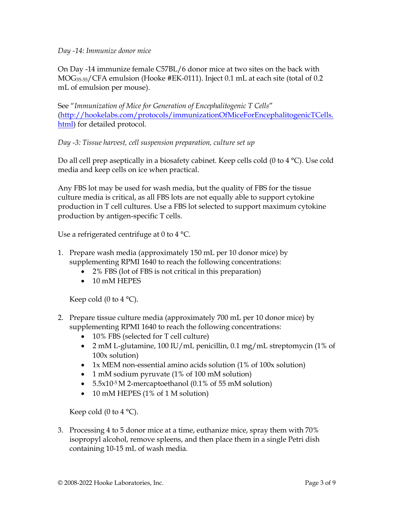### Day -14: Immunize donor mice

On Day -14 immunize female C57BL/6 donor mice at two sites on the back with MOG35-55/CFA emulsion (Hooke #EK-0111). Inject 0.1 mL at each site (total of 0.2 mL of emulsion per mouse).

See "Immunization of Mice for Generation of Encephalitogenic T Cells" (http://hookelabs.com/protocols/immunizationOfMiceForEncephalitogenicTCells. html) for detailed protocol.

# Day -3: Tissue harvest, cell suspension preparation, culture set up

Do all cell prep aseptically in a biosafety cabinet. Keep cells cold (0 to 4 °C). Use cold media and keep cells on ice when practical.

Any FBS lot may be used for wash media, but the quality of FBS for the tissue culture media is critical, as all FBS lots are not equally able to support cytokine production in T cell cultures. Use a FBS lot selected to support maximum cytokine production by antigen-specific T cells.

Use a refrigerated centrifuge at 0 to 4 °C.

- 1. Prepare wash media (approximately 150 mL per 10 donor mice) by supplementing RPMI 1640 to reach the following concentrations:
	- 2% FBS (lot of FBS is not critical in this preparation)
	- 10 mM HEPES

Keep cold (0 to 4  $^{\circ}$ C).

- 2. Prepare tissue culture media (approximately 700 mL per 10 donor mice) by supplementing RPMI 1640 to reach the following concentrations:
	- 10% FBS (selected for T cell culture)
	- 2 mM L-glutamine, 100 IU/mL penicillin, 0.1 mg/mL streptomycin (1% of 100x solution)
	- 1x MEM non-essential amino acids solution (1% of 100x solution)
	- 1 mM sodium pyruvate (1% of 100 mM solution)
	- $5.5x10^{-5}$  M 2-mercaptoethanol (0.1% of 55 mM solution)
	- 10 mM HEPES (1% of 1 M solution)

Keep cold (0 to 4  $^{\circ}$ C).

3. Processing 4 to 5 donor mice at a time, euthanize mice, spray them with 70% isopropyl alcohol, remove spleens, and then place them in a single Petri dish containing 10-15 mL of wash media.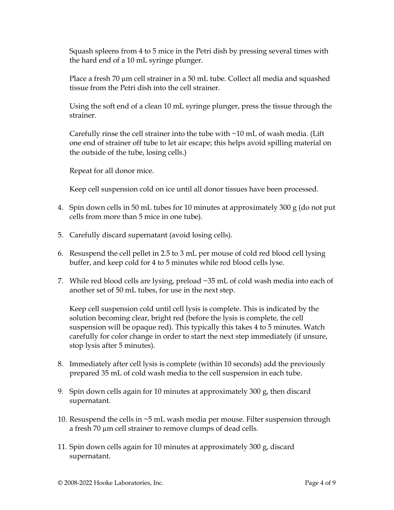Squash spleens from 4 to 5 mice in the Petri dish by pressing several times with the hard end of a 10 mL syringe plunger.

Place a fresh 70 µm cell strainer in a 50 mL tube. Collect all media and squashed tissue from the Petri dish into the cell strainer.

Using the soft end of a clean 10 mL syringe plunger, press the tissue through the strainer.

Carefully rinse the cell strainer into the tube with  $\sim$ 10 mL of wash media. (Lift one end of strainer off tube to let air escape; this helps avoid spilling material on the outside of the tube, losing cells.)

Repeat for all donor mice.

Keep cell suspension cold on ice until all donor tissues have been processed.

- 4. Spin down cells in 50 mL tubes for 10 minutes at approximately 300 g (do not put cells from more than 5 mice in one tube).
- 5. Carefully discard supernatant (avoid losing cells).
- 6. Resuspend the cell pellet in 2.5 to 3 mL per mouse of cold red blood cell lysing buffer, and keep cold for 4 to 5 minutes while red blood cells lyse.
- 7. While red blood cells are lysing, preload ~35 mL of cold wash media into each of another set of 50 mL tubes, for use in the next step.

Keep cell suspension cold until cell lysis is complete. This is indicated by the solution becoming clear, bright red (before the lysis is complete, the cell suspension will be opaque red). This typically this takes 4 to 5 minutes. Watch carefully for color change in order to start the next step immediately (if unsure, stop lysis after 5 minutes).

- 8. Immediately after cell lysis is complete (within 10 seconds) add the previously prepared 35 mL of cold wash media to the cell suspension in each tube.
- 9. Spin down cells again for 10 minutes at approximately 300 g, then discard supernatant.
- 10. Resuspend the cells in ~5 mL wash media per mouse. Filter suspension through a fresh 70 µm cell strainer to remove clumps of dead cells.
- 11. Spin down cells again for 10 minutes at approximately 300 g, discard supernatant.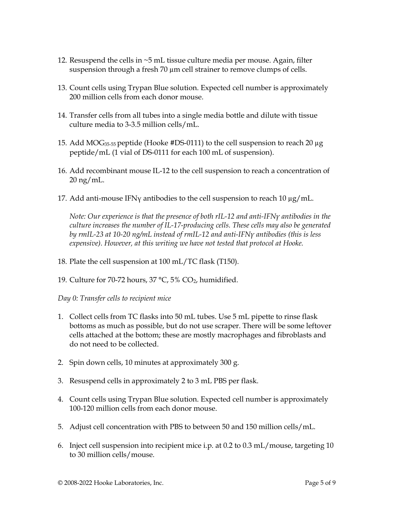- 12. Resuspend the cells in ~5 mL tissue culture media per mouse. Again, filter suspension through a fresh 70  $\mu$ m cell strainer to remove clumps of cells.
- 13. Count cells using Trypan Blue solution. Expected cell number is approximately 200 million cells from each donor mouse.
- 14. Transfer cells from all tubes into a single media bottle and dilute with tissue culture media to 3-3.5 million cells/mL.
- 15. Add MOG<sub>35-55</sub> peptide (Hooke #DS-0111) to the cell suspension to reach 20  $\mu$ g peptide/mL (1 vial of DS-0111 for each 100 mL of suspension).
- 16. Add recombinant mouse IL-12 to the cell suspension to reach a concentration of 20 ng/mL.
- 17. Add anti-mouse IFN $\gamma$  antibodies to the cell suspension to reach 10  $\mu$ g/mL.

Note: Our experience is that the presence of both rIL-12 and anti-IFNγ antibodies in the culture increases the number of IL-17-producing cells. These cells may also be generated by rmIL-23 at 10-20 ng/mL instead of rmIL-12 and anti-IFNγ antibodies (this is less expensive). However, at this writing we have not tested that protocol at Hooke.

- 18. Plate the cell suspension at 100 mL/TC flask (T150).
- 19. Culture for 70-72 hours,  $37 \text{ °C}$ ,  $5\%$  CO<sub>2</sub>, humidified.

Day 0: Transfer cells to recipient mice

- 1. Collect cells from TC flasks into 50 mL tubes. Use 5 mL pipette to rinse flask bottoms as much as possible, but do not use scraper. There will be some leftover cells attached at the bottom; these are mostly macrophages and fibroblasts and do not need to be collected.
- 2. Spin down cells, 10 minutes at approximately 300 g.
- 3. Resuspend cells in approximately 2 to 3 mL PBS per flask.
- 4. Count cells using Trypan Blue solution. Expected cell number is approximately 100-120 million cells from each donor mouse.
- 5. Adjust cell concentration with PBS to between 50 and 150 million cells/mL.
- 6. Inject cell suspension into recipient mice i.p. at 0.2 to 0.3 mL/mouse, targeting 10 to 30 million cells/mouse.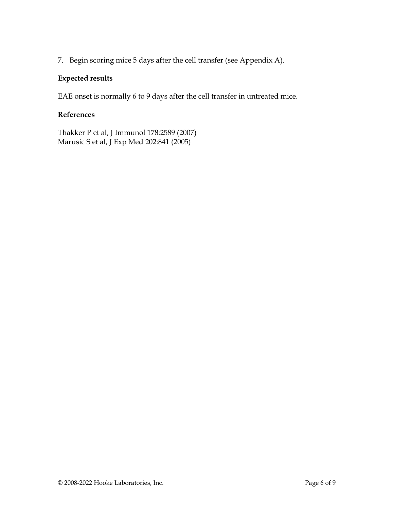7. Begin scoring mice 5 days after the cell transfer (see Appendix A).

# Expected results

EAE onset is normally 6 to 9 days after the cell transfer in untreated mice.

# References

Thakker P et al, J Immunol 178:2589 (2007) Marusic S et al, J Exp Med 202:841 (2005)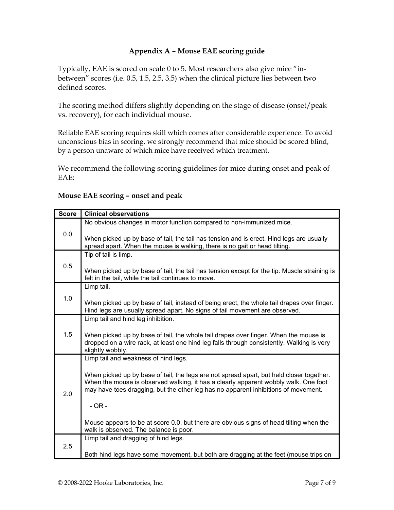# Appendix A – Mouse EAE scoring guide

Typically, EAE is scored on scale 0 to 5. Most researchers also give mice "inbetween" scores (i.e. 0.5, 1.5, 2.5, 3.5) when the clinical picture lies between two defined scores.

The scoring method differs slightly depending on the stage of disease (onset/peak vs. recovery), for each individual mouse.

Reliable EAE scoring requires skill which comes after considerable experience. To avoid unconscious bias in scoring, we strongly recommend that mice should be scored blind, by a person unaware of which mice have received which treatment.

We recommend the following scoring guidelines for mice during onset and peak of EAE:

## Score | Clinical observations 0.0 No obvious changes in motor function compared to non-immunized mice. When picked up by base of tail, the tail has tension and is erect. Hind legs are usually spread apart. When the mouse is walking, there is no gait or head tilting. 0.5 Tip of tail is limp. When picked up by base of tail, the tail has tension except for the tip. Muscle straining is felt in the tail, while the tail continues to move. 1.0 Limp tail. When picked up by base of tail, instead of being erect, the whole tail drapes over finger. Hind legs are usually spread apart. No signs of tail movement are observed. 1.5 Limp tail and hind leg inhibition. When picked up by base of tail, the whole tail drapes over finger. When the mouse is dropped on a wire rack, at least one hind leg falls through consistently. Walking is very slightly wobbly. 2.0 Limp tail and weakness of hind legs. When picked up by base of tail, the legs are not spread apart, but held closer together. When the mouse is observed walking, it has a clearly apparent wobbly walk. One foot may have toes dragging, but the other leg has no apparent inhibitions of movement. - OR - Mouse appears to be at score 0.0, but there are obvious signs of head tilting when the walk is observed. The balance is poor. 2.5 Limp tail and dragging of hind legs. Both hind legs have some movement, but both are dragging at the feet (mouse trips on

### Mouse EAE scoring – onset and peak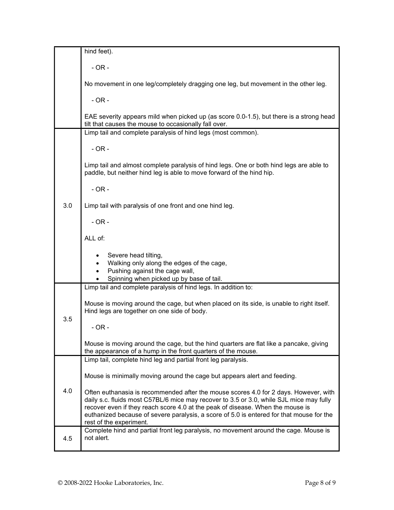|     | hind feet).                                                                                                                                                                                                                                                                                                                                                                              |
|-----|------------------------------------------------------------------------------------------------------------------------------------------------------------------------------------------------------------------------------------------------------------------------------------------------------------------------------------------------------------------------------------------|
|     | $-OR -$                                                                                                                                                                                                                                                                                                                                                                                  |
|     | No movement in one leg/completely dragging one leg, but movement in the other leg.                                                                                                                                                                                                                                                                                                       |
|     | $-OR -$                                                                                                                                                                                                                                                                                                                                                                                  |
|     | EAE severity appears mild when picked up (as score 0.0-1.5), but there is a strong head<br>tilt that causes the mouse to occasionally fall over.                                                                                                                                                                                                                                         |
|     | Limp tail and complete paralysis of hind legs (most common).                                                                                                                                                                                                                                                                                                                             |
|     | $-OR -$                                                                                                                                                                                                                                                                                                                                                                                  |
|     | Limp tail and almost complete paralysis of hind legs. One or both hind legs are able to<br>paddle, but neither hind leg is able to move forward of the hind hip.                                                                                                                                                                                                                         |
|     | $-OR -$                                                                                                                                                                                                                                                                                                                                                                                  |
| 3.0 | Limp tail with paralysis of one front and one hind leg.                                                                                                                                                                                                                                                                                                                                  |
|     | $-OR -$                                                                                                                                                                                                                                                                                                                                                                                  |
|     | ALL of:                                                                                                                                                                                                                                                                                                                                                                                  |
|     | Severe head tilting,<br>Walking only along the edges of the cage,<br>Pushing against the cage wall,<br>$\bullet$<br>Spinning when picked up by base of tail.                                                                                                                                                                                                                             |
|     | Limp tail and complete paralysis of hind legs. In addition to:                                                                                                                                                                                                                                                                                                                           |
|     |                                                                                                                                                                                                                                                                                                                                                                                          |
|     | Mouse is moving around the cage, but when placed on its side, is unable to right itself.<br>Hind legs are together on one side of body.                                                                                                                                                                                                                                                  |
| 3.5 | $-OR -$                                                                                                                                                                                                                                                                                                                                                                                  |
|     | Mouse is moving around the cage, but the hind quarters are flat like a pancake, giving<br>the appearance of a hump in the front quarters of the mouse.                                                                                                                                                                                                                                   |
|     | Limp tail, complete hind leg and partial front leg paralysis.                                                                                                                                                                                                                                                                                                                            |
|     | Mouse is minimally moving around the cage but appears alert and feeding.                                                                                                                                                                                                                                                                                                                 |
| 4.0 | Often euthanasia is recommended after the mouse scores 4.0 for 2 days. However, with<br>daily s.c. fluids most C57BL/6 mice may recover to 3.5 or 3.0, while SJL mice may fully<br>recover even if they reach score 4.0 at the peak of disease. When the mouse is<br>euthanized because of severe paralysis, a score of 5.0 is entered for that mouse for the<br>rest of the experiment. |